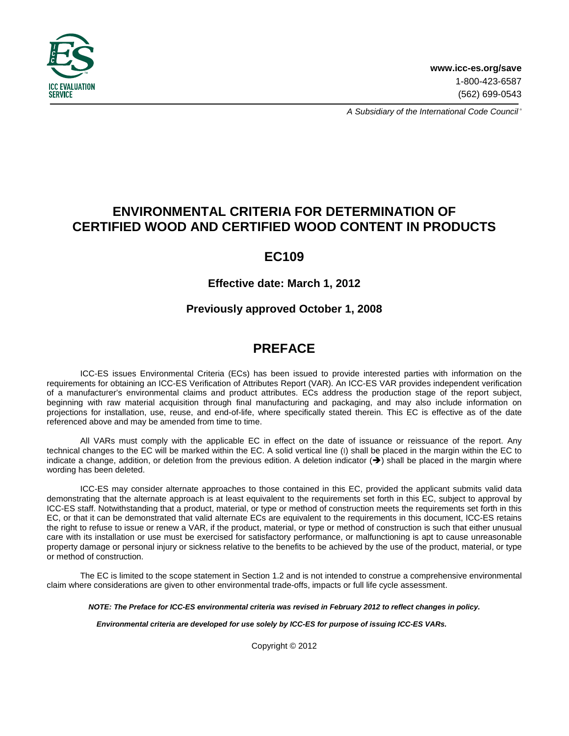

A Subsidiary of the International Code Council®

# **ENVIRONMENTAL CRITERIA FOR DETERMINATION OF CERTIFIED WOOD AND CERTIFIED WOOD CONTENT IN PRODUCTS**

# **EC109**

## **Effective date: March 1, 2012**

## **Previously approved October 1, 2008**

# **PREFACE**

ICC-ES issues Environmental Criteria (ECs) has been issued to provide interested parties with information on the requirements for obtaining an ICC-ES Verification of Attributes Report (VAR). An ICC-ES VAR provides independent verification of a manufacturer's environmental claims and product attributes. ECs address the production stage of the report subject, beginning with raw material acquisition through final manufacturing and packaging, and may also include information on projections for installation, use, reuse, and end-of-life, where specifically stated therein. This EC is effective as of the date referenced above and may be amended from time to time.

All VARs must comply with the applicable EC in effect on the date of issuance or reissuance of the report. Any technical changes to the EC will be marked within the EC. A solid vertical line (I) shall be placed in the margin within the EC to indicate a change, addition, or deletion from the previous edition. A deletion indicator  $(\rightarrow)$  shall be placed in the margin where wording has been deleted.

ICC-ES may consider alternate approaches to those contained in this EC, provided the applicant submits valid data demonstrating that the alternate approach is at least equivalent to the requirements set forth in this EC, subject to approval by ICC-ES staff. Notwithstanding that a product, material, or type or method of construction meets the requirements set forth in this EC, or that it can be demonstrated that valid alternate ECs are equivalent to the requirements in this document, ICC-ES retains the right to refuse to issue or renew a VAR, if the product, material, or type or method of construction is such that either unusual care with its installation or use must be exercised for satisfactory performance, or malfunctioning is apt to cause unreasonable property damage or personal injury or sickness relative to the benefits to be achieved by the use of the product, material, or type or method of construction.

The EC is limited to the scope statement in Section 1.2 and is not intended to construe a comprehensive environmental claim where considerations are given to other environmental trade-offs, impacts or full life cycle assessment.

**NOTE: The Preface for ICC-ES environmental criteria was revised in February 2012 to reflect changes in policy.** 

**Environmental criteria are developed for use solely by ICC-ES for purpose of issuing ICC-ES VARs.**

Copyright © 2012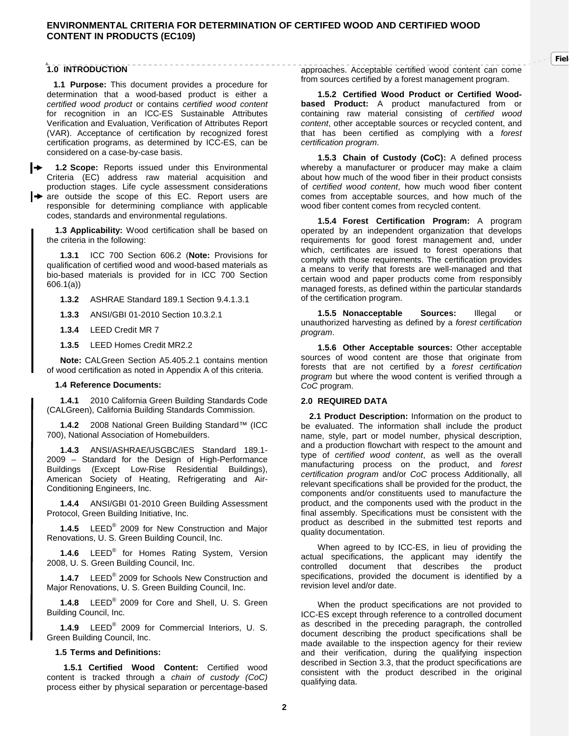## **1.0 INTRODUCTION**

**1.1 Purpose:** This document provides a procedure for determination that a wood-based product is either a certified wood product or contains certified wood content for recognition in an ICC-ES Sustainable Attributes Verification and Evaluation, Verification of Attributes Report (VAR). Acceptance of certification by recognized forest certification programs, as determined by ICC-ES, can be considered on a case-by-case basis.

**1.2 Scope:** Reports issued under this Environmental Criteria (EC) address raw material acquisition and production stages. Life cycle assessment considerations

**I** are outside the scope of this EC. Report users are responsible for determining compliance with applicable codes, standards and environmental regulations.

**1.3 Applicability:** Wood certification shall be based on the criteria in the following:

**1.3.1** ICC 700 Section 606.2 (**Note:** Provisions for qualification of certified wood and wood-based materials as bio-based materials is provided for in ICC 700 Section 606.1(a))

**1.3.2** ASHRAE Standard 189.1 Section 9.4.1.3.1

**1.3.3** ANSI/GBI 01-2010 Section 10.3.2.1

**1.3.4** LEED Credit MR 7

**1.3.5** LEED Homes Credit MR2.2

**Note:** CALGreen Section A5.405.2.1 contains mention of wood certification as noted in Appendix A of this criteria.

#### **1.4 Reference Documents:**

**1.4.1** 2010 California Green Building Standards Code (CALGreen), California Building Standards Commission.

**1.4.2** 2008 National Green Building Standard™ (ICC 700), National Association of Homebuilders.

**1.4.3** ANSI/ASHRAE/USGBC/IES Standard 189.1- 2009 – Standard for the Design of High-Performance Buildings (Except Low-Rise Residential Buildings), American Society of Heating, Refrigerating and Air-Conditioning Engineers, Inc.

**1.4.4** ANSI/GBI 01-2010 Green Building Assessment Protocol, Green Building Initiative, Inc.

**1.4.5** LEED® 2009 for New Construction and Major Renovations, U. S. Green Building Council, Inc.

**1.4.6** LEED® for Homes Rating System, Version 2008, U. S. Green Building Council, Inc.

**1.4.7** LEED® 2009 for Schools New Construction and Major Renovations, U. S. Green Building Council, Inc.

**1.4.8** LEED® 2009 for Core and Shell, U. S. Green Building Council, Inc.

**1.4.9** LEED® 2009 for Commercial Interiors, U. S. Green Building Council, Inc.

#### **1.5 Terms and Definitions:**

**1.5.1 Certified Wood Content:** Certified wood content is tracked through a chain of custody (CoC) process either by physical separation or percentage-based

approaches. Acceptable certified wood content can come from sources certified by a forest management program.

**Fiel** 

**1.5.2 Certified Wood Product or Certified Woodbased Product:** A product manufactured from or containing raw material consisting of certified wood content, other acceptable sources or recycled content, and that has been certified as complying with a forest certification program.

**1.5.3 Chain of Custody (CoC):** A defined process whereby a manufacturer or producer may make a claim about how much of the wood fiber in their product consists of certified wood content, how much wood fiber content comes from acceptable sources, and how much of the wood fiber content comes from recycled content.

**1.5.4 Forest Certification Program:** A program operated by an independent organization that develops requirements for good forest management and, under which, certificates are issued to forest operations that comply with those requirements. The certification provides a means to verify that forests are well-managed and that certain wood and paper products come from responsibly managed forests, as defined within the particular standards of the certification program.

**1.5.5 Nonacceptable Sources:** Illegal or unauthorized harvesting as defined by a forest certification program.

**1.5.6 Other Acceptable sources:** Other acceptable sources of wood content are those that originate from forests that are not certified by a forest certification program but where the wood content is verified through a CoC program.

#### **2.0 REQUIRED DATA**

**2.1 Product Description:** Information on the product to be evaluated. The information shall include the product name, style, part or model number, physical description, and a production flowchart with respect to the amount and type of certified wood content, as well as the overall manufacturing process on the product, and forest certification program and/or CoC process Additionally, all relevant specifications shall be provided for the product, the components and/or constituents used to manufacture the product, and the components used with the product in the final assembly. Specifications must be consistent with the product as described in the submitted test reports and quality documentation.

 When agreed to by ICC-ES, in lieu of providing the actual specifications, the applicant may identify the controlled document that describes the product specifications, provided the document is identified by a revision level and/or date.

When the product specifications are not provided to ICC-ES except through reference to a controlled document as described in the preceding paragraph, the controlled document describing the product specifications shall be made available to the inspection agency for their review and their verification, during the qualifying inspection described in Section 3.3, that the product specifications are consistent with the product described in the original qualifying data.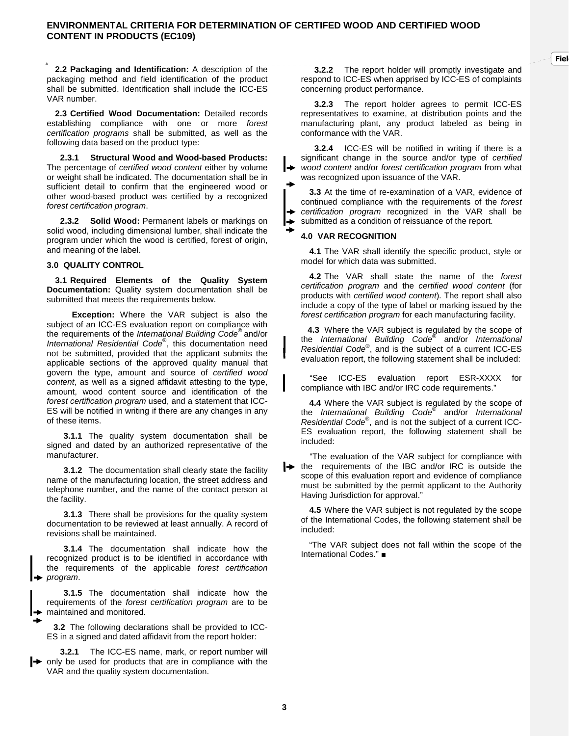**2.2 Packaging and Identification:** A description of the packaging method and field identification of the product shall be submitted. Identification shall include the ICC-ES VAR number.

**2.3 Certified Wood Documentation:** Detailed records establishing compliance with one or more forest certification programs shall be submitted, as well as the following data based on the product type:

**2.3.1 Structural Wood and Wood-based Products:** The percentage of certified wood content either by volume or weight shall be indicated. The documentation shall be in sufficient detail to confirm that the engineered wood or other wood-based product was certified by a recognized forest certification program.

**2.3.2 Solid Wood:** Permanent labels or markings on solid wood, including dimensional lumber, shall indicate the program under which the wood is certified, forest of origin, and meaning of the label.

#### **3.0 QUALITY CONTROL**

**3.1 Required Elements of the Quality System Documentation:** Quality system documentation shall be submitted that meets the requirements below.

 **Exception:** Where the VAR subject is also the subject of an ICC-ES evaluation report on compliance with the requirements of the International Building Code<sup>®</sup> and/or International Residential Code®, this documentation need not be submitted, provided that the applicant submits the applicable sections of the approved quality manual that govern the type, amount and source of certified wood content, as well as a signed affidavit attesting to the type, amount, wood content source and identification of the forest certification program used, and a statement that ICC-ES will be notified in writing if there are any changes in any of these items.

**3.1.1** The quality system documentation shall be signed and dated by an authorized representative of the manufacturer.

**3.1.2** The documentation shall clearly state the facility name of the manufacturing location, the street address and telephone number, and the name of the contact person at the facility.

**3.1.3** There shall be provisions for the quality system documentation to be reviewed at least annually. A record of revisions shall be maintained.

**3.1.4** The documentation shall indicate how the recognized product is to be identified in accordance with the requirements of the applicable forest certification program.

**3.1.5** The documentation shall indicate how the requirements of the forest certification program are to be maintained and monitored.

►

**3.2** The following declarations shall be provided to ICC-ES in a signed and dated affidavit from the report holder:

**3.2.1** The ICC-ES name, mark, or report number will only be used for products that are in compliance with the VAR and the quality system documentation.

**3.2.2** The report holder will promptly investigate and respond to ICC-ES when apprised by ICC-ES of complaints concerning product performance.

**Fiel** 

**3.2.3** The report holder agrees to permit ICC-ES representatives to examine, at distribution points and the manufacturing plant, any product labeled as being in conformance with the VAR.

**3.2.4** ICC-ES will be notified in writing if there is a significant change in the source and/or type of certified wood content and/or forest certification program from what was recognized upon issuance of the VAR.

**3.3** At the time of re-examination of a VAR, evidence of continued compliance with the requirements of the forest certification program recognized in the VAR shall be submitted as a condition of reissuance of the report.

#### **4.0 VAR RECOGNITION**

**4.1** The VAR shall identify the specific product, style or model for which data was submitted.

**4.2** The VAR shall state the name of the forest certification program and the certified wood content (for products with certified wood content). The report shall also include a copy of the type of label or marking issued by the forest certification program for each manufacturing facility.

**4.3** Where the VAR subject is regulated by the scope of the International Building Code® and/or International Residential Code® , and is the subject of a current ICC-ES evaluation report, the following statement shall be included:

"See ICC-ES evaluation report ESR-XXXX for compliance with IBC and/or IRC code requirements."

**4.4** Where the VAR subject is regulated by the scope of the International Building Code® and/or International Residential Code® , and is not the subject of a current ICC-ES evaluation report, the following statement shall be included:

"The evaluation of the VAR subject for compliance with **the requirements of the IBC and/or IRC is outside the** scope of this evaluation report and evidence of compliance must be submitted by the permit applicant to the Authority Having Jurisdiction for approval."

**4.5** Where the VAR subject is not regulated by the scope of the International Codes, the following statement shall be included:

"The VAR subject does not fall within the scope of the International Codes." ■